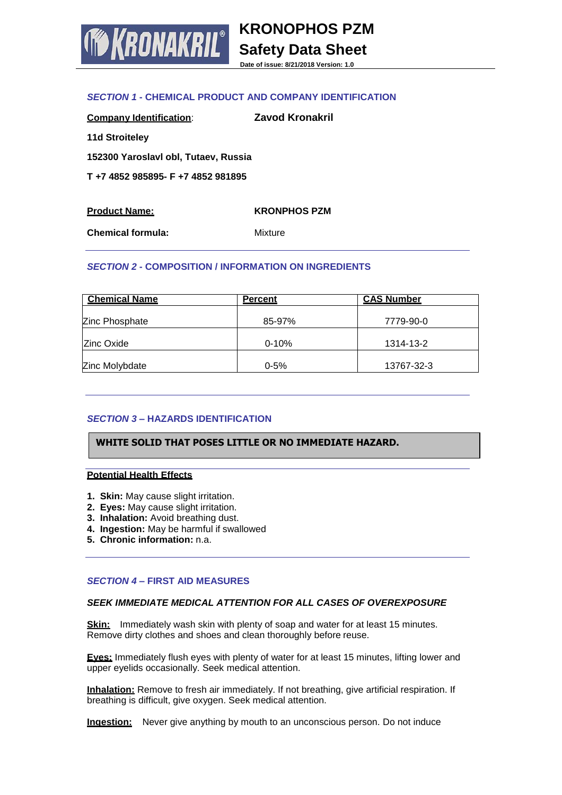

**KRONOPHOS PZM Safety Data Sheet**

**Date of issue: 8/21/2018 Version: 1.0**

# *SECTION 1* **- CHEMICAL PRODUCT AND COMPANY IDENTIFICATION**

| <b>Company Identification:</b>       | Zavod Kronakril |
|--------------------------------------|-----------------|
| <b>11d Stroiteley</b>                |                 |
| 152300 Yaroslavl obl, Tutaev, Russia |                 |
| T+74852985895-F+74852981895          |                 |
|                                      |                 |

| <b>Product Name:</b>     | <b>KRONPHOS PZM</b> |
|--------------------------|---------------------|
| <b>Chemical formula:</b> | Mixture             |

### *SECTION 2* **- COMPOSITION / INFORMATION ON INGREDIENTS**

| <b>Chemical Name</b> | <b>Percent</b> | <b>CAS Number</b> |
|----------------------|----------------|-------------------|
| Zinc Phosphate       | 85-97%         | 7779-90-0         |
| Zinc Oxide           | $0 - 10%$      | 1314-13-2         |
| Zinc Molybdate       | $0 - 5%$       | 13767-32-3        |

# *SECTION 3* **– HAZARDS IDENTIFICATION**

# **WHITE SOLID THAT POSES LITTLE OR NO IMMEDIATE HAZARD.**

### **Potential Health Effects**

- **1. Skin:** May cause slight irritation.
- **2. Eyes:** May cause slight irritation.
- **3. Inhalation:** Avoid breathing dust.
- **4. Ingestion:** May be harmful if swallowed
- **5. Chronic information:** n.a.

### *SECTION 4* **– FIRST AID MEASURES**

### *SEEK IMMEDIATE MEDICAL ATTENTION FOR ALL CASES OF OVEREXPOSURE*

**Skin:** Immediately wash skin with plenty of soap and water for at least 15 minutes. Remove dirty clothes and shoes and clean thoroughly before reuse.

**Eyes:** Immediately flush eyes with plenty of water for at least 15 minutes, lifting lower and upper eyelids occasionally. Seek medical attention.

**Inhalation:** Remove to fresh air immediately. If not breathing, give artificial respiration. If breathing is difficult, give oxygen. Seek medical attention.

**Ingestion:** Never give anything by mouth to an unconscious person. Do not induce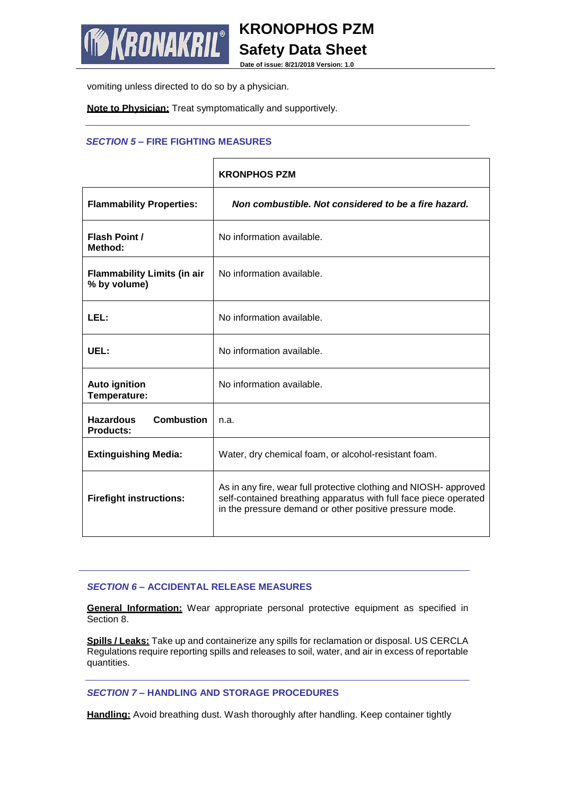

**Safety Data Sheet Date of issue: 8/21/2018 Version: 1.0**

**KRONOPHOS PZM**

vomiting unless directed to do so by a physician.

**Note to Physician:** Treat symptomatically and supportively.

# *SECTION 5* **– FIRE FIGHTING MEASURES**

|                                                    | <b>KRONPHOS PZM</b>                                                                                                                                                                              |
|----------------------------------------------------|--------------------------------------------------------------------------------------------------------------------------------------------------------------------------------------------------|
| <b>Flammability Properties:</b>                    | Non combustible. Not considered to be a fire hazard.                                                                                                                                             |
| <b>Flash Point /</b><br>Method:                    | No information available.                                                                                                                                                                        |
| <b>Flammability Limits (in air</b><br>% by volume) | No information available.                                                                                                                                                                        |
| LEL:                                               | No information available.                                                                                                                                                                        |
| UEL:                                               | No information available.                                                                                                                                                                        |
| <b>Auto ignition</b><br>Temperature:               | No information available.                                                                                                                                                                        |
| Combustion<br><b>Hazardous</b><br><b>Products:</b> | n.a.                                                                                                                                                                                             |
| <b>Extinguishing Media:</b>                        | Water, dry chemical foam, or alcohol-resistant foam.                                                                                                                                             |
| <b>Firefight instructions:</b>                     | As in any fire, wear full protective clothing and NIOSH- approved<br>self-contained breathing apparatus with full face piece operated<br>in the pressure demand or other positive pressure mode. |

# *SECTION 6* **– ACCIDENTAL RELEASE MEASURES**

**General Information:** Wear appropriate personal protective equipment as specified in Section 8.

**Spills / Leaks:** Take up and containerize any spills for reclamation or disposal. US CERCLA Regulations require reporting spills and releases to soil, water, and air in excess of reportable quantities.

*SECTION 7* **– HANDLING AND STORAGE PROCEDURES**

**Handling:** Avoid breathing dust. Wash thoroughly after handling. Keep container tightly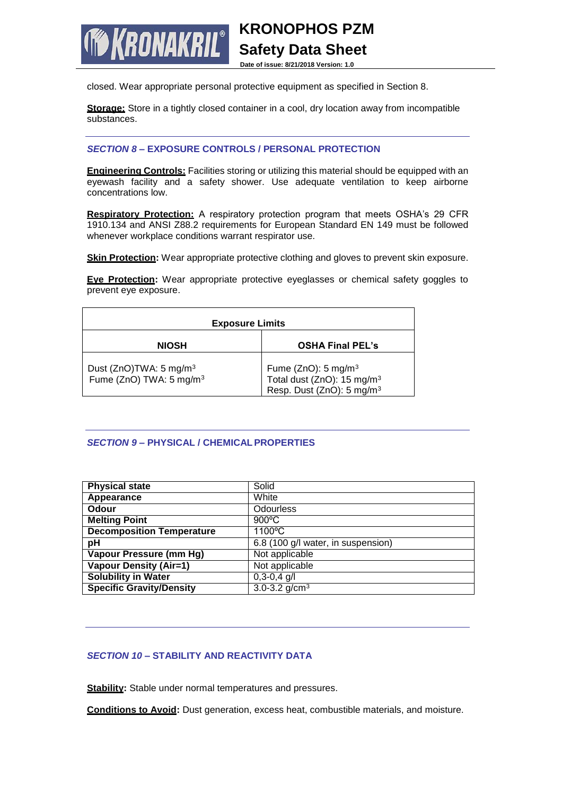**RONAKRIL®** 

**Date of issue: 8/21/2018 Version: 1.0**

**KRONOPHOS PZM**

**Safety Data Sheet**

closed. Wear appropriate personal protective equipment as specified in Section 8.

**Storage:** Store in a tightly closed container in a cool, dry location away from incompatible substances.

## *SECTION 8* **– EXPOSURE CONTROLS / PERSONAL PROTECTION**

**Engineering Controls:** Facilities storing or utilizing this material should be equipped with an eyewash facility and a safety shower. Use adequate ventilation to keep airborne concentrations low.

**Respiratory Protection:** A respiratory protection program that meets OSHA's 29 CFR 1910.134 and ANSI Z88.2 requirements for European Standard EN 149 must be followed whenever workplace conditions warrant respirator use.

**Skin Protection:** Wear appropriate protective clothing and gloves to prevent skin exposure.

**Eye Protection:** Wear appropriate protective eyeglasses or chemical safety goggles to prevent eye exposure.

| <b>Exposure Limits</b>                                                    |                                                                                                                        |  |
|---------------------------------------------------------------------------|------------------------------------------------------------------------------------------------------------------------|--|
| <b>NIOSH</b>                                                              | <b>OSHA Final PEL's</b>                                                                                                |  |
| Dust (ZnO)TWA: 5 mg/m <sup>3</sup><br>Fume (ZnO) TWA: 5 mg/m <sup>3</sup> | Fume ( $ZnO$ ): 5 mg/m <sup>3</sup><br>Total dust (ZnO): 15 mg/m <sup>3</sup><br>Resp. Dust (ZnO): 5 mg/m <sup>3</sup> |  |

# *SECTION 9* **– PHYSICAL / CHEMICALPROPERTIES**

| <b>Physical state</b>            | Solid                              |
|----------------------------------|------------------------------------|
| Appearance                       | White                              |
| Odour                            | <b>Odourless</b>                   |
| <b>Melting Point</b>             | $900^{\circ}$ C                    |
| <b>Decomposition Temperature</b> | 1100°C                             |
| рH                               | 6.8 (100 g/l water, in suspension) |
| Vapour Pressure (mm Hg)          | Not applicable                     |
| <b>Vapour Density (Air=1)</b>    | Not applicable                     |
| <b>Solubility in Water</b>       | $0,3-0,4$ g/l                      |
| <b>Specific Gravity/Density</b>  | 3.0-3.2 $q/cm3$                    |

# *SECTION 10* **– STABILITY AND REACTIVITY DATA**

**Stability:** Stable under normal temperatures and pressures.

**Conditions to Avoid:** Dust generation, excess heat, combustible materials, and moisture.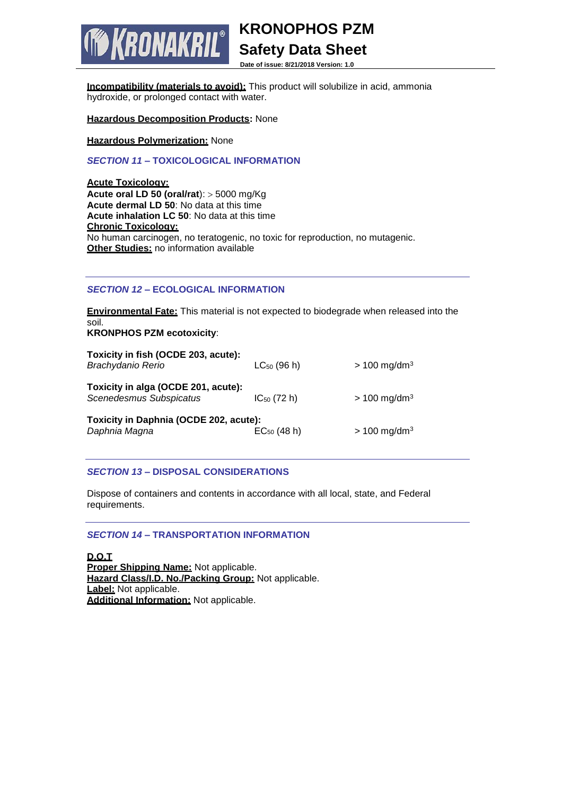**KRONOPHOS PZM**

**Safety Data Sheet**

**Date of issue: 8/21/2018 Version: 1.0**

**Incompatibility (materials to avoid):** This product will solubilize in acid, ammonia hydroxide, or prolonged contact with water.

**Hazardous Decomposition Products:** None

KRONAKRIL®

**Hazardous Polymerization:** None

*SECTION 11* **– TOXICOLOGICAL INFORMATION**

**Acute Toxicology: Acute oral LD 50 (oral/rat):** > 5000 mg/Kg **Acute dermal LD 50**: No data at this time **Acute inhalation LC 50**: No data at this time **Chronic Toxicology:** No human carcinogen, no teratogenic, no toxic for reproduction, no mutagenic. **Other Studies:** no information available

### *SECTION 12* **– ECOLOGICAL INFORMATION**

**Environmental Fate:** This material is not expected to biodegrade when released into the soil.

**KRONPHOS PZM ecotoxicity**:

| Toxicity in fish (OCDE 203, acute):<br>Brachydanio Rerio       | $LC_{50}$ (96 h) | $> 100$ mg/dm <sup>3</sup> |
|----------------------------------------------------------------|------------------|----------------------------|
| Toxicity in alga (OCDE 201, acute):<br>Scenedesmus Subspicatus | $IC_{50}$ (72 h) | $> 100$ mg/dm <sup>3</sup> |
| Toxicity in Daphnia (OCDE 202, acute):<br>Daphnia Magna        | $EC_{50}$ (48 h) | $> 100$ mg/dm <sup>3</sup> |

# *SECTION 13* **– DISPOSAL CONSIDERATIONS**

Dispose of containers and contents in accordance with all local, state, and Federal requirements.

# *SECTION 14* **– TRANSPORTATION INFORMATION**

**D.O.T Proper Shipping Name:** Not applicable. **Hazard Class/I.D. No./Packing Group:** Not applicable. **Label:** Not applicable. **Additional Information:** Not applicable.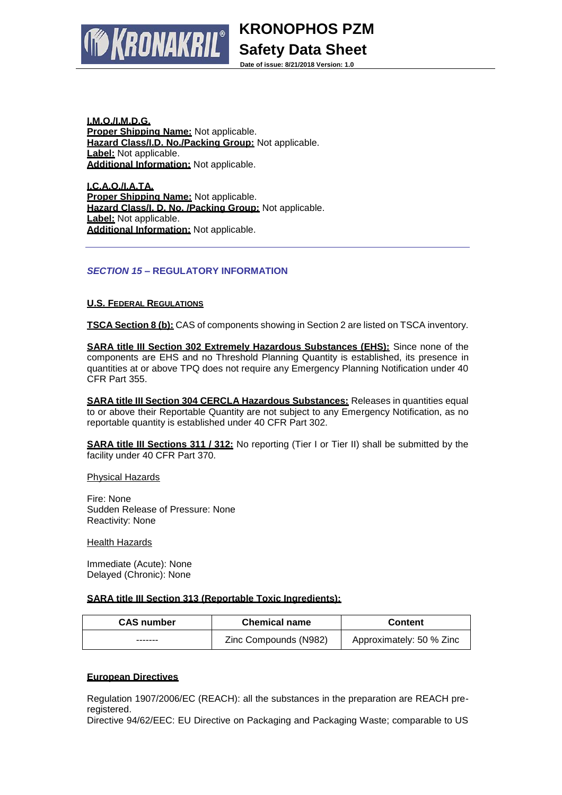**KRONOPHOS PZM Safety Data Sheet**

**Date of issue: 8/21/2018 Version: 1.0**

**I.M.O./I.M.D.G. Proper Shipping Name:** Not applicable. **Hazard Class/I.D. No./Packing Group:** Not applicable. **Label:** Not applicable. **Additional Information:** Not applicable.

**RONAKRIL®** 

**I.C.A.O./I.A.TA. Proper Shipping Name:** Not applicable. **Hazard Class/I. D. No. /Packing Group:** Not applicable. **Label:** Not applicable. **Additional Information:** Not applicable.

# *SECTION 15* **– REGULATORY INFORMATION**

# **U.S. FEDERAL REGULATIONS**

**TSCA Section 8 (b):** CAS of components showing in Section 2 are listed on TSCA inventory.

**SARA title III Section 302 Extremely Hazardous Substances (EHS):** Since none of the components are EHS and no Threshold Planning Quantity is established, its presence in quantities at or above TPQ does not require any Emergency Planning Notification under 40 CFR Part 355.

**SARA title III Section 304 CERCLA Hazardous Substances:** Releases in quantities equal to or above their Reportable Quantity are not subject to any Emergency Notification, as no reportable quantity is established under 40 CFR Part 302.

**SARA title III Sections 311 / 312:** No reporting (Tier I or Tier II) shall be submitted by the facility under 40 CFR Part 370.

Physical Hazards

Fire: None Sudden Release of Pressure: None Reactivity: None

Health Hazards

Immediate (Acute): None Delayed (Chronic): None

### **SARA title III Section 313 (Reportable Toxic Ingredients):**

| <b>CAS number</b> | <b>Chemical name</b>  | <b>Content</b>           |
|-------------------|-----------------------|--------------------------|
| -------           | Zinc Compounds (N982) | Approximately: 50 % Zinc |

### **European Directives**

Regulation 1907/2006/EC (REACH): all the substances in the preparation are REACH preregistered.

Directive 94/62/EEC: EU Directive on Packaging and Packaging Waste; comparable to US